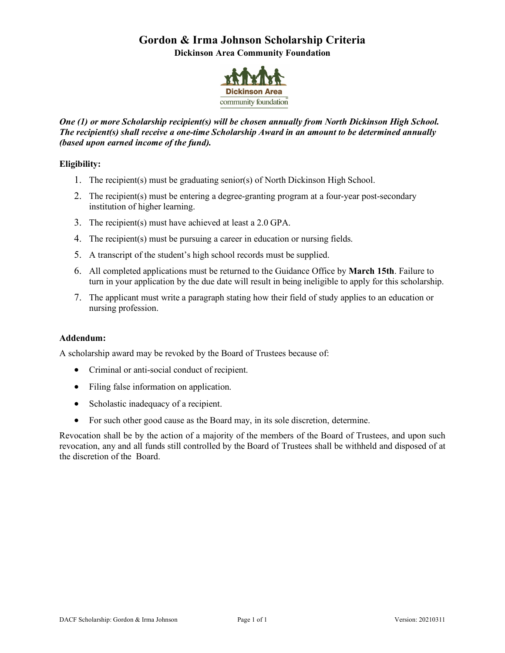# **Gordon & Irma Johnson Scholarship Criteria**

**Dickinson Area Community Foundation**



#### *One (1) or more Scholarship recipient(s) will be chosen annually from North Dickinson High School. The recipient(s) shall receive a one-time Scholarship Award in an amount to be determined annually (based upon earned income of the fund).*

#### **Eligibility:**

- 1. The recipient(s) must be graduating senior(s) of North Dickinson High School.
- 2. The recipient(s) must be entering a degree-granting program at a four-year post-secondary institution of higher learning.
- 3. The recipient(s) must have achieved at least a 2.0 GPA.
- 4. The recipient(s) must be pursuing a career in education or nursing fields.
- 5. A transcript of the student's high school records must be supplied.
- 6. All completed applications must be returned to the Guidance Office by **March 15th**. Failure to turn in your application by the due date will result in being ineligible to apply for this scholarship.
- 7. The applicant must write a paragraph stating how their field of study applies to an education or nursing profession.

#### **Addendum:**

A scholarship award may be revoked by the Board of Trustees because of:

- Criminal or anti-social conduct of recipient.
- Filing false information on application.
- Scholastic inadequacy of a recipient.
- For such other good cause as the Board may, in its sole discretion, determine.

Revocation shall be by the action of a majority of the members of the Board of Trustees, and upon such revocation, any and all funds still controlled by the Board of Trustees shall be withheld and disposed of at the discretion of the Board.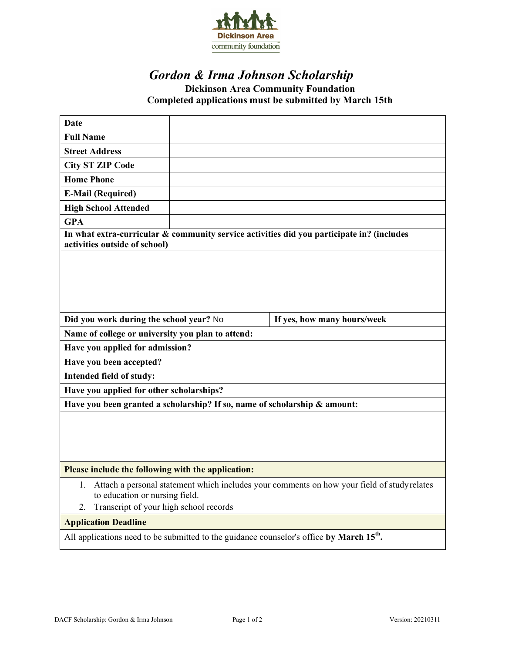

## *Gordon & Irma Johnson Scholarship*

## **Dickinson Area Community Foundation Completed applications must be submitted by March 15th**

| Date                                                                                                                                                                               |                             |  |
|------------------------------------------------------------------------------------------------------------------------------------------------------------------------------------|-----------------------------|--|
| <b>Full Name</b>                                                                                                                                                                   |                             |  |
| <b>Street Address</b>                                                                                                                                                              |                             |  |
| <b>City ST ZIP Code</b>                                                                                                                                                            |                             |  |
| <b>Home Phone</b>                                                                                                                                                                  |                             |  |
| <b>E-Mail (Required)</b>                                                                                                                                                           |                             |  |
| <b>High School Attended</b>                                                                                                                                                        |                             |  |
| <b>GPA</b>                                                                                                                                                                         |                             |  |
| In what extra-curricular & community service activities did you participate in? (includes<br>activities outside of school)                                                         |                             |  |
|                                                                                                                                                                                    |                             |  |
| Did you work during the school year? No                                                                                                                                            | If yes, how many hours/week |  |
| Name of college or university you plan to attend:                                                                                                                                  |                             |  |
| Have you applied for admission?                                                                                                                                                    |                             |  |
| Have you been accepted?                                                                                                                                                            |                             |  |
| Intended field of study:                                                                                                                                                           |                             |  |
| Have you applied for other scholarships?                                                                                                                                           |                             |  |
| Have you been granted a scholarship? If so, name of scholarship & amount:                                                                                                          |                             |  |
|                                                                                                                                                                                    |                             |  |
| Please include the following with the application:                                                                                                                                 |                             |  |
| Attach a personal statement which includes your comments on how your field of studyrelates<br>1.<br>to education or nursing field.<br>Transcript of your high school records<br>2. |                             |  |
| <b>Application Deadline</b>                                                                                                                                                        |                             |  |
| All applications need to be submitted to the guidance counselor's office by March 15 <sup>th</sup> .                                                                               |                             |  |